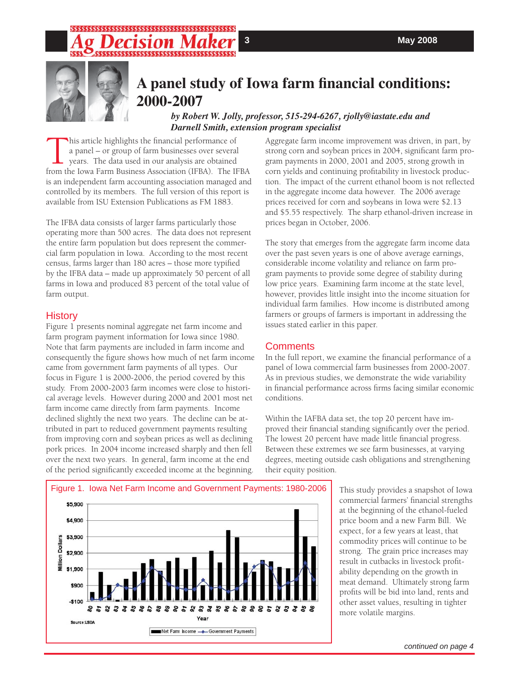# SSSSSSSSSSSSSSSSSSSSSSSSSSS



## A panel study of Iowa farm financial conditions: **2000-2007**

#### *by Robert W. Jolly, professor, 515-294-6267, rjolly@iastate.edu and Darnell Smith, extension program specialist*

his article highlights the financial performance of a panel – or group of farm businesses over several years. The data used in our analysis are obtained from the Iowa Farm Business Association (IFBA). The IFBA is an independent farm accounting association managed and controlled by its members. The full version of this report is available from ISU Extension Publications as FM 1883.

The IFBA data consists of larger farms particularly those operating more than 500 acres. The data does not represent the entire farm population but does represent the commercial farm population in Iowa. According to the most recent census, farms larger than 180 acres - those more typified by the IFBA data – made up approximately 50 percent of all farms in Iowa and produced 83 percent of the total value of farm output.

## History

Figure 1 presents nominal aggregate net farm income and farm program payment information for Iowa since 1980. Note that farm payments are included in farm income and consequently the figure shows how much of net farm income came from government farm payments of all types. Our focus in Figure 1 is 2000-2006, the period covered by this study. From 2000-2003 farm incomes were close to historical average levels. However during 2000 and 2001 most net farm income came directly from farm payments. Income declined slightly the next two years. The decline can be attributed in part to reduced government payments resulting from improving corn and soybean prices as well as declining pork prices. In 2004 income increased sharply and then fell over the next two years. In general, farm income at the end of the period significantly exceeded income at the beginning.

Aggregate farm income improvement was driven, in part, by strong corn and soybean prices in 2004, significant farm program payments in 2000, 2001 and 2005, strong growth in corn yields and continuing profitability in livestock production. The impact of the current ethanol boom is not reflected in the aggregate income data however. The 2006 average prices received for corn and soybeans in Iowa were \$2.13 and \$5.55 respectively. The sharp ethanol-driven increase in prices began in October, 2006.

The story that emerges from the aggregate farm income data over the past seven years is one of above average earnings, considerable income volatility and reliance on farm program payments to provide some degree of stability during low price years. Examining farm income at the state level, however, provides little insight into the income situation for individual farm families. How income is distributed among farmers or groups of farmers is important in addressing the issues stated earlier in this paper.

## **Comments**

In the full report, we examine the financial performance of a panel of Iowa commercial farm businesses from 2000-2007. As in previous studies, we demonstrate the wide variability in financial performance across firms facing similar economic conditions.

Within the IAFBA data set, the top 20 percent have improved their financial standing significantly over the period. The lowest 20 percent have made little financial progress. Between these extremes we see farm businesses, at varying degrees, meeting outside cash obligations and strengthening their equity position.

> This study provides a snapshot of Iowa commercial farmers' financial strengths at the beginning of the ethanol-fueled price boom and a new Farm Bill. We expect, for a few years at least, that commodity prices will continue to be strong. The grain price increases may result in cutbacks in livestock profitability depending on the growth in meat demand. Ultimately strong farm profits will be bid into land, rents and other asset values, resulting in tighter more volatile margins.